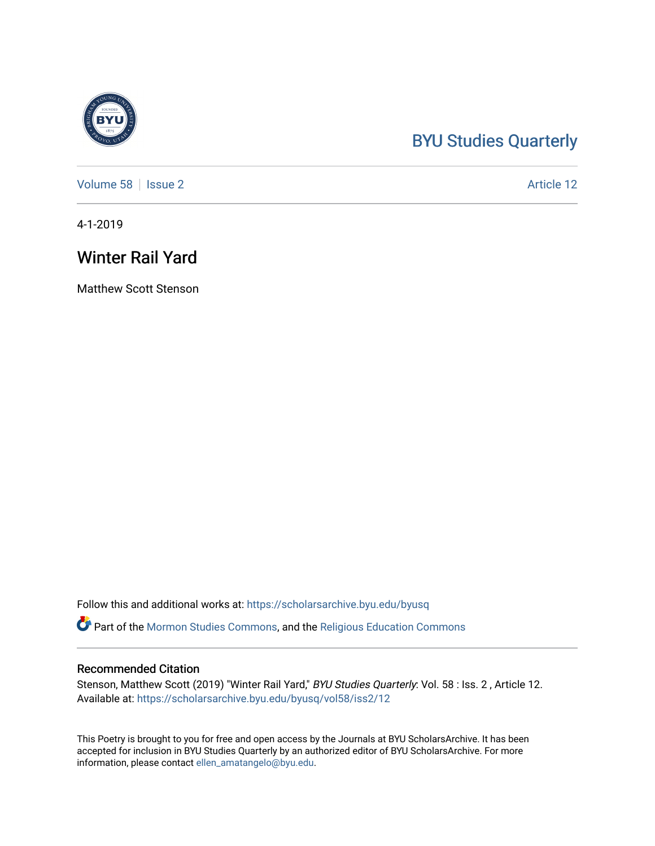## [BYU Studies Quarterly](https://scholarsarchive.byu.edu/byusq)

[Volume 58](https://scholarsarchive.byu.edu/byusq/vol58) | [Issue 2](https://scholarsarchive.byu.edu/byusq/vol58/iss2) Article 12

4-1-2019

## Winter Rail Yard

Matthew Scott Stenson

Follow this and additional works at: [https://scholarsarchive.byu.edu/byusq](https://scholarsarchive.byu.edu/byusq?utm_source=scholarsarchive.byu.edu%2Fbyusq%2Fvol58%2Fiss2%2F12&utm_medium=PDF&utm_campaign=PDFCoverPages) 

Part of the [Mormon Studies Commons](http://network.bepress.com/hgg/discipline/1360?utm_source=scholarsarchive.byu.edu%2Fbyusq%2Fvol58%2Fiss2%2F12&utm_medium=PDF&utm_campaign=PDFCoverPages), and the [Religious Education Commons](http://network.bepress.com/hgg/discipline/1414?utm_source=scholarsarchive.byu.edu%2Fbyusq%2Fvol58%2Fiss2%2F12&utm_medium=PDF&utm_campaign=PDFCoverPages) 

## Recommended Citation

Stenson, Matthew Scott (2019) "Winter Rail Yard," BYU Studies Quarterly: Vol. 58 : Iss. 2 , Article 12. Available at: [https://scholarsarchive.byu.edu/byusq/vol58/iss2/12](https://scholarsarchive.byu.edu/byusq/vol58/iss2/12?utm_source=scholarsarchive.byu.edu%2Fbyusq%2Fvol58%2Fiss2%2F12&utm_medium=PDF&utm_campaign=PDFCoverPages) 

This Poetry is brought to you for free and open access by the Journals at BYU ScholarsArchive. It has been accepted for inclusion in BYU Studies Quarterly by an authorized editor of BYU ScholarsArchive. For more information, please contact [ellen\\_amatangelo@byu.edu.](mailto:ellen_amatangelo@byu.edu)